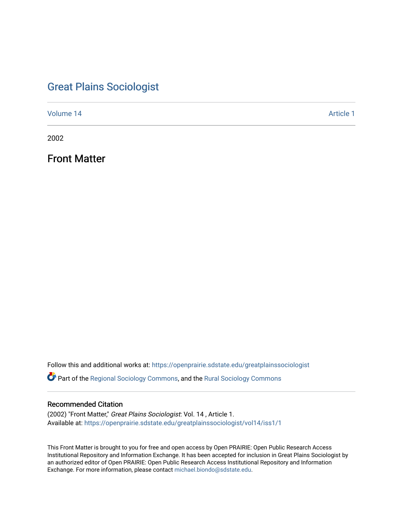# [Great Plains Sociologist](https://openprairie.sdstate.edu/greatplainssociologist)

[Volume 14](https://openprairie.sdstate.edu/greatplainssociologist/vol14) Article 1

2002

Front Matter

Follow this and additional works at: [https://openprairie.sdstate.edu/greatplainssociologist](https://openprairie.sdstate.edu/greatplainssociologist?utm_source=openprairie.sdstate.edu%2Fgreatplainssociologist%2Fvol14%2Fiss1%2F1&utm_medium=PDF&utm_campaign=PDFCoverPages) 

Part of the [Regional Sociology Commons](http://network.bepress.com/hgg/discipline/427?utm_source=openprairie.sdstate.edu%2Fgreatplainssociologist%2Fvol14%2Fiss1%2F1&utm_medium=PDF&utm_campaign=PDFCoverPages), and the [Rural Sociology Commons](http://network.bepress.com/hgg/discipline/428?utm_source=openprairie.sdstate.edu%2Fgreatplainssociologist%2Fvol14%2Fiss1%2F1&utm_medium=PDF&utm_campaign=PDFCoverPages) 

#### Recommended Citation

(2002) "Front Matter," Great Plains Sociologist: Vol. 14 , Article 1. Available at: [https://openprairie.sdstate.edu/greatplainssociologist/vol14/iss1/1](https://openprairie.sdstate.edu/greatplainssociologist/vol14/iss1/1?utm_source=openprairie.sdstate.edu%2Fgreatplainssociologist%2Fvol14%2Fiss1%2F1&utm_medium=PDF&utm_campaign=PDFCoverPages)

This Front Matter is brought to you for free and open access by Open PRAIRIE: Open Public Research Access Institutional Repository and Information Exchange. It has been accepted for inclusion in Great Plains Sociologist by an authorized editor of Open PRAIRIE: Open Public Research Access Institutional Repository and Information Exchange. For more information, please contact [michael.biondo@sdstate.edu.](mailto:michael.biondo@sdstate.edu)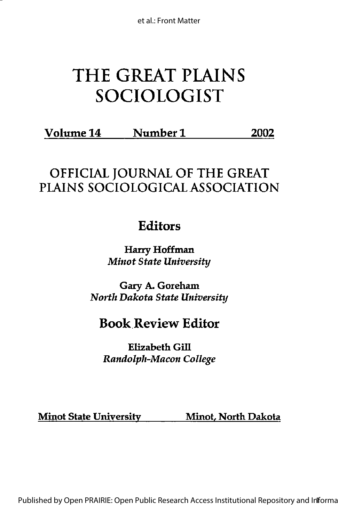# THE GREAT PLAINS SOCIOLOGIST

Volume 14 Number 1 2002

# OFFICIAL JOURNAL OF THE GREAT PLAINS SOCIOLOGICALASSOCIATION

# **Editors**

Harry Hoffman Minot State University

Gary A. Goreham North Dakota State University

# Book.Review Editor

Elizabeth Gill Randolph-Macon College

Minot State University Minot, North Dakota

Published by Open PRAIRIE: Open Public Research Access Institutional Repository and Infforma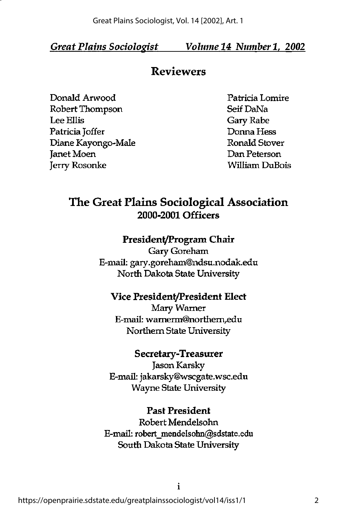Great Plains Sociologist Volume 14 Number 1, 2002

## Reviewers

Donald Arwood Patricia Lomire Robert Thompson Seif DaNa Lee Ellis Gary Rabe Patricia Joffer **Donna Hess** Diane Kayongo-Male Ronald Stover Janet Moen Dan Peterson Jerry Rosonke William DuBois

## The Great Plains Sociological Association 2000-2001 Officers

#### President/Program Chair

Gary Goreham E-mail: gary.goreham@ndsu.nodak.edu North Dakota State University

## Vice President/President Elect

Mary Warner E-mail: wamerm@nordiem,edu Northern State University

#### Secretary-Treasurer

Jason Karsky E-mail: jakarsky@wscgate.wsc.edu Wayne State University

#### Past President

Robert Mendelsohn E-mail: robert\_mendelsohn@sdstate.edu South Dakota State University

 $\mathbf{i}$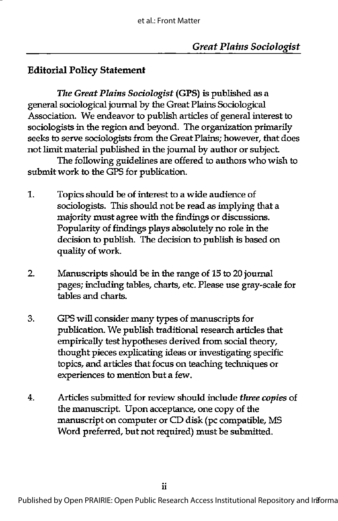## Editorial Policy Statement

The Great Plains Sociologist (GPS) is published as a general sociological journal by the Great Plains Sociological Association. We endeavor to publish articles of general interest to sociologists in the region and beyond. The organization primarily seeks to serve sociologists from the Great Plains; however, that does not limit material published in the journal by author or subject.

The following guidelines are offered to authors who wish to submit work to the GPS for publication.

- 1. Topics should be of interest to a wide audience of sociologists. This should not be read as implying that a majority must agree with the findings or discussions. Popularity of findings plays absolutely no role in the decision to publish. The decision to publish is based on quality of work.
- 2. Manuscripts should be in the range of 15 to 20 journal pages; including tables, charts, ete. Please use gray-scale for tables and charts.
- 3. GPS will consider many types of manuscripts for publication. We publish traditional research articles that empirically test hypotheses derived from social theory, thought pieces explicating ideas or investigating specific topics, and articles that focus on teaching techniques or experiences to mention but a few.
- 4. Articles submitted for review should include three copies of the manuscript. Upon acceptance, one copy of the manuscript on computer or CD disk (pc compatible, MS Word preferred, but not required) must be submitted.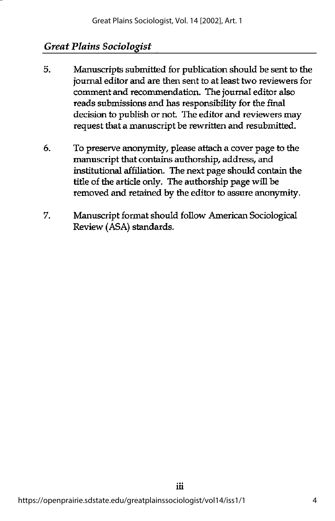## Great Plains Sociologist

- 5. Manuscripis submitted for publication should be sent to the journal editor and are then sent to at least two reviewers for comment and recommendation. The journal editor also reads submissions and has responsibility for the final decision to publish or not. The editor and reviewers may request that a manuscript be rewritten and resubmitted.
- 6. To preserve anonymity, please attach a cover page to the manuscript that contains authorship, address, and institutional affiliation. The next page should contain the title of the article only. The authorship page will be removed and retained by the editor to assure anonymity.
- 7. Manuscript format should follow American Sociological Review (ASA) standards.

iii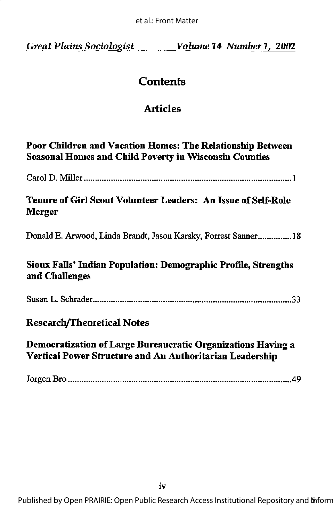et al.: Front Matter

Great Plains Sociologist \_\_\_\_\_\_Volume 14 Number 1, 2002

## **Contents**

## Articles

| Poor Children and Vacation Homes: The Relationship Between    |  |
|---------------------------------------------------------------|--|
| <b>Seasonal Homes and Child Poverty in Wisconsin Counties</b> |  |

|--|--|--|--|--|

## Tenure of Girl Scout Volunteer Leaders: An Issue of Self-Role Merger

Donald E. Arwood, Linda Brandt, Jason Karsky, Forrest Sanner ............... 18

#### Sioux Falls' Indian Population: Demographic Profile, Strengths and Challenges

Susan L. Schrader 33

## Research/Theoretical Notes

#### Democratization of Large Bureaucratic Organizations Having a Vertical Power Structure and An Authoritarian Leadership

Jorgen Bro 49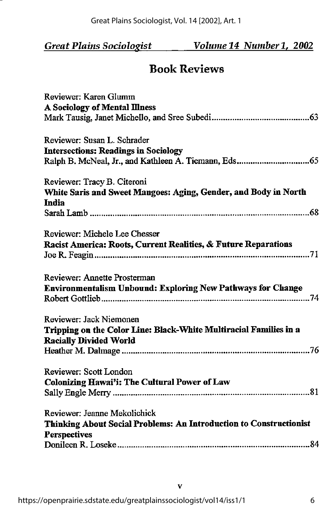## Book Reviews

| Reviewer: Karen Glumm                                                           |
|---------------------------------------------------------------------------------|
| <b>A Sociology of Mental Illness</b>                                            |
|                                                                                 |
| Reviewer: Susan L. Schrader                                                     |
| <b>Intersections: Readings in Sociology</b>                                     |
|                                                                                 |
| Reviewer: Tracy B. Citeroni                                                     |
| White Saris and Sweet Mangoes: Aging, Gender, and Body in North<br><b>India</b> |
|                                                                                 |
|                                                                                 |
| Reviewer: Michele Lee Chesser                                                   |
| Racist America: Roots, Current Realities, & Future Reparations                  |
|                                                                                 |
| Reviewer: Annette Prosterman                                                    |
| <b>Environmentalism Unbound: Exploring New Pathways for Change</b>              |
|                                                                                 |
| Reviewer: Jack Niemonen                                                         |
| Tripping on the Color Line: Black-White Multiracial Families in a               |
| <b>Racially Divided World</b>                                                   |
|                                                                                 |
| Reviewer: Scott London                                                          |
| <b>Colonizing Hawai'i: The Cultural Power of Law</b>                            |
|                                                                                 |
| Reviewer: Jeanne Mekolichick                                                    |
| Thinking About Social Problems: An Introduction to Constructionist              |
| <b>Perspectives</b>                                                             |
|                                                                                 |
|                                                                                 |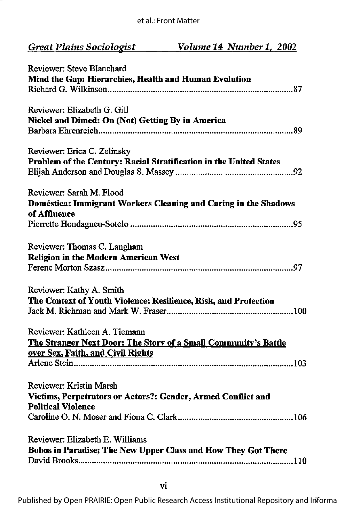## Great Plains Sociologist Volume 14 Number 1, 2002

| Reviewer: Steve Blanchard<br>Mind the Gap: Hierarchies, Health and Human Evolution                                                    |
|---------------------------------------------------------------------------------------------------------------------------------------|
| Reviewer: Elizabeth G. Gill<br>Nickel and Dimed: On (Not) Getting By in America                                                       |
| Reviewer: Erica C. Zelinsky<br>Problem of the Century: Racial Stratification in the United States                                     |
| Reviewer: Sarah M. Flood<br>Doméstica: Immigrant Workers Cleaning and Caring in the Shadows<br>of Affluence                           |
| Reviewer: Thomas C. Langham<br><b>Religion in the Modern American West</b>                                                            |
| Reviewer: Kathy A. Smith<br>The Context of Youth Violence: Resilience, Risk, and Protection                                           |
| Reviewer: Kathleen A. Tiemann<br>The Stranger Next Door: The Story of a Small Community's Battle<br>over Sex, Faith, and Civil Rights |
| Reviewer: Kristin Marsh<br>Victims, Perpetrators or Actors?: Gender, Armed Conflict and<br><b>Political Violence</b>                  |
| Reviewer: Elizabeth E. Williams<br>Bobos in Paradise; The New Upper Class and How They Got There                                      |
|                                                                                                                                       |

Published by Open PRAIRIE: Open Public Research Access Institutional Repository and Informa